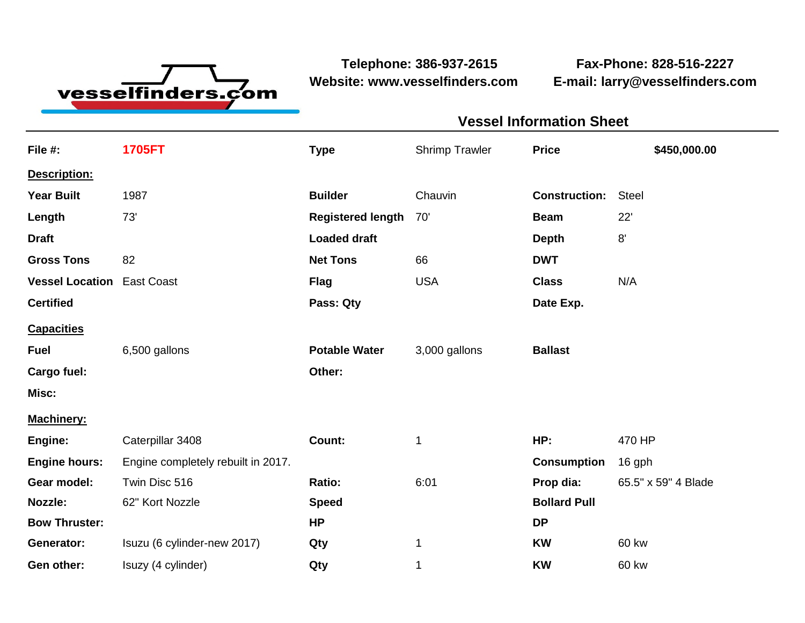

**Website: www.vesselfinders.com E-mail: larry@vesselfinders.com**

**Telephone: 386-937-2615 Fax-Phone: 828-516-2227**

## **Vessel Information Sheet**

| File #:                           | <b>1705FT</b>                      | <b>Type</b>              | <b>Shrimp Trawler</b> | <b>Price</b>         | \$450,000.00        |
|-----------------------------------|------------------------------------|--------------------------|-----------------------|----------------------|---------------------|
| Description:                      |                                    |                          |                       |                      |                     |
| <b>Year Built</b>                 | 1987                               | <b>Builder</b>           | Chauvin               | <b>Construction:</b> | <b>Steel</b>        |
| Length                            | 73'                                | <b>Registered length</b> | 70'                   | <b>Beam</b>          | 22'                 |
| <b>Draft</b>                      |                                    | <b>Loaded draft</b>      |                       | <b>Depth</b>         | 8'                  |
| <b>Gross Tons</b>                 | 82                                 | <b>Net Tons</b>          | 66                    | <b>DWT</b>           |                     |
| <b>Vessel Location East Coast</b> |                                    | <b>Flag</b>              | <b>USA</b>            | <b>Class</b>         | N/A                 |
| <b>Certified</b>                  |                                    | Pass: Qty                |                       | Date Exp.            |                     |
| <b>Capacities</b>                 |                                    |                          |                       |                      |                     |
| <b>Fuel</b>                       | 6,500 gallons                      | <b>Potable Water</b>     | 3,000 gallons         | <b>Ballast</b>       |                     |
| Cargo fuel:                       |                                    | Other:                   |                       |                      |                     |
| Misc:                             |                                    |                          |                       |                      |                     |
| Machinery:                        |                                    |                          |                       |                      |                     |
| Engine:                           | Caterpillar 3408                   | Count:                   | 1                     | HP:                  | 470 HP              |
| <b>Engine hours:</b>              | Engine completely rebuilt in 2017. |                          |                       | <b>Consumption</b>   | 16 gph              |
| Gear model:                       | Twin Disc 516                      | Ratio:                   | 6:01                  | Prop dia:            | 65.5" x 59" 4 Blade |
| Nozzle:                           | 62" Kort Nozzle                    | <b>Speed</b>             |                       | <b>Bollard Pull</b>  |                     |
| <b>Bow Thruster:</b>              |                                    | <b>HP</b>                |                       | <b>DP</b>            |                     |
| Generator:                        | Isuzu (6 cylinder-new 2017)        | Qty                      | 1                     | <b>KW</b>            | 60 kw               |
| Gen other:                        | Isuzy (4 cylinder)                 | Qty                      | 1                     | <b>KW</b>            | 60 kw               |